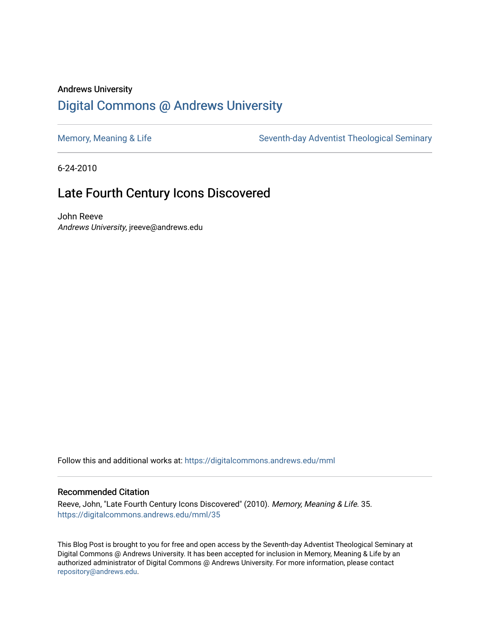### Andrews University [Digital Commons @ Andrews University](https://digitalcommons.andrews.edu/)

[Memory, Meaning & Life](https://digitalcommons.andrews.edu/mml) Seventh-day Adventist Theological Seminary

6-24-2010

## Late Fourth Century Icons Discovered

John Reeve Andrews University, jreeve@andrews.edu

Follow this and additional works at: [https://digitalcommons.andrews.edu/mml](https://digitalcommons.andrews.edu/mml?utm_source=digitalcommons.andrews.edu%2Fmml%2F35&utm_medium=PDF&utm_campaign=PDFCoverPages) 

#### Recommended Citation

Reeve, John, "Late Fourth Century Icons Discovered" (2010). Memory, Meaning & Life. 35. [https://digitalcommons.andrews.edu/mml/35](https://digitalcommons.andrews.edu/mml/35?utm_source=digitalcommons.andrews.edu%2Fmml%2F35&utm_medium=PDF&utm_campaign=PDFCoverPages)

This Blog Post is brought to you for free and open access by the Seventh-day Adventist Theological Seminary at Digital Commons @ Andrews University. It has been accepted for inclusion in Memory, Meaning & Life by an authorized administrator of Digital Commons @ Andrews University. For more information, please contact [repository@andrews.edu](mailto:repository@andrews.edu).